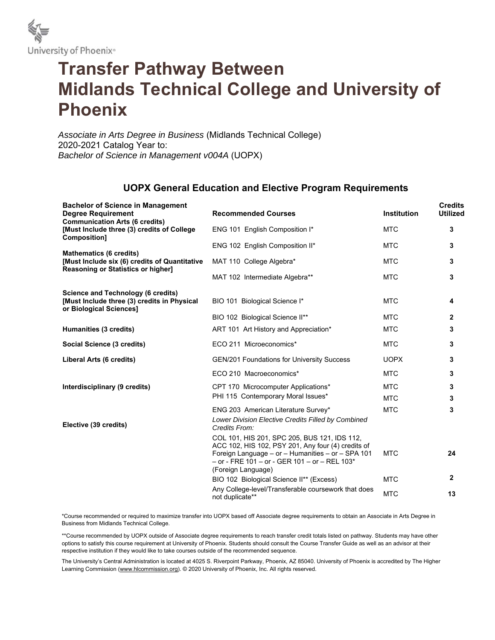

## **Transfer Pathway Between Midlands Technical College and University of Phoenix**

*Associate in Arts Degree in Business* (Midlands Technical College) 2020-2021 Catalog Year to: *Bachelor of Science in Management v004A* (UOPX)

## **UOPX General Education and Elective Program Requirements**

| <b>Bachelor of Science in Management</b><br><b>Degree Requirement</b><br><b>Communication Arts (6 credits)</b>      | <b>Recommended Courses</b>                                                                                                                                                                                                     | <b>Institution</b> | <b>Credits</b><br><b>Utilized</b> |
|---------------------------------------------------------------------------------------------------------------------|--------------------------------------------------------------------------------------------------------------------------------------------------------------------------------------------------------------------------------|--------------------|-----------------------------------|
| [Must Include three (3) credits of College<br><b>Composition1</b>                                                   | ENG 101 English Composition I*                                                                                                                                                                                                 | <b>MTC</b>         | 3                                 |
| <b>Mathematics (6 credits)</b>                                                                                      | ENG 102 English Composition II*                                                                                                                                                                                                | <b>MTC</b>         | 3                                 |
| [Must Include six (6) credits of Quantitative<br>Reasoning or Statistics or higher]                                 | MAT 110 College Algebra*                                                                                                                                                                                                       | <b>MTC</b>         | 3                                 |
|                                                                                                                     | MAT 102 Intermediate Algebra**                                                                                                                                                                                                 | <b>MTC</b>         | 3                                 |
| <b>Science and Technology (6 credits)</b><br>[Must Include three (3) credits in Physical<br>or Biological Sciences] | BIO 101 Biological Science I*                                                                                                                                                                                                  | <b>MTC</b>         | 4                                 |
|                                                                                                                     | BIO 102 Biological Science II**                                                                                                                                                                                                | <b>MTC</b>         | $\overline{2}$                    |
| Humanities (3 credits)                                                                                              | ART 101 Art History and Appreciation*                                                                                                                                                                                          | <b>MTC</b>         | 3                                 |
| Social Science (3 credits)                                                                                          | ECO 211 Microeconomics*                                                                                                                                                                                                        | <b>MTC</b>         | 3                                 |
| Liberal Arts (6 credits)                                                                                            | <b>GEN/201 Foundations for University Success</b>                                                                                                                                                                              | <b>UOPX</b>        | 3                                 |
|                                                                                                                     | ECO 210 Macroeconomics*                                                                                                                                                                                                        | <b>MTC</b>         | 3                                 |
| Interdisciplinary (9 credits)                                                                                       | CPT 170 Microcomputer Applications*                                                                                                                                                                                            | <b>MTC</b>         | 3                                 |
|                                                                                                                     | PHI 115 Contemporary Moral Issues*                                                                                                                                                                                             | <b>MTC</b>         | 3                                 |
| Elective (39 credits)                                                                                               | ENG 203 American Literature Survey*<br>Lower Division Elective Credits Filled by Combined<br>Credits From:                                                                                                                     | <b>MTC</b>         | 3                                 |
|                                                                                                                     | COL 101, HIS 201, SPC 205, BUS 121, IDS 112,<br>ACC 102, HIS 102, PSY 201, Any four (4) credits of<br>Foreign Language - or - Humanities - or - SPA 101<br>- or - FRE 101 - or - GER 101 - or - REL 103*<br>(Foreign Language) | <b>MTC</b>         | 24                                |
|                                                                                                                     | BIO 102 Biological Science II** (Excess)                                                                                                                                                                                       | <b>MTC</b>         | 2                                 |
|                                                                                                                     | Any College-level/Transferable coursework that does<br>not duplicate**                                                                                                                                                         | <b>MTC</b>         | 13                                |

\*Course recommended or required to maximize transfer into UOPX based off Associate degree requirements to obtain an Associate in Arts Degree in Business from Midlands Technical College.

\*\*Course recommended by UOPX outside of Associate degree requirements to reach transfer credit totals listed on pathway. Students may have other options to satisfy this course requirement at University of Phoenix. Students should consult the Course Transfer Guide as well as an advisor at their respective institution if they would like to take courses outside of the recommended sequence.

The University's Central Administration is located at 4025 S. Riverpoint Parkway, Phoenix, AZ 85040. University of Phoenix is accredited by The Higher Learning Commission (www.hlcommission.org). © 2020 University of Phoenix, Inc. All rights reserved.